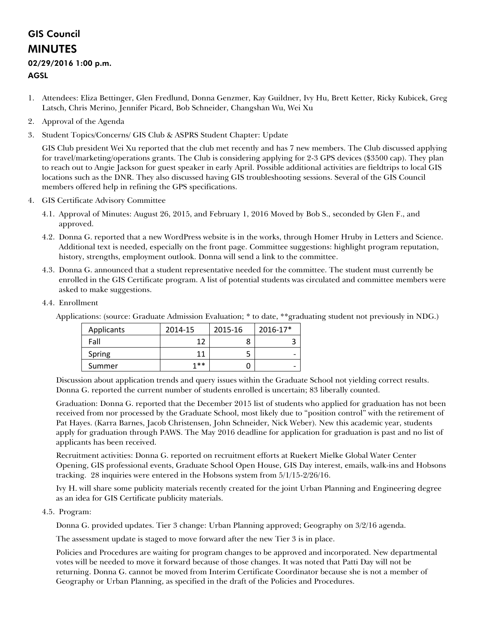## GIS Council MINUTES

## 02/29/2016 1:00 p.m.

## AGSL

- 1. Attendees: Eliza Bettinger, Glen Fredlund, Donna Genzmer, Kay Guildner, Ivy Hu, Brett Ketter, Ricky Kubicek, Greg Latsch, Chris Merino, Jennifer Picard, Bob Schneider, Changshan Wu, Wei Xu
- 2. Approval of the Agenda
- 3. Student Topics/Concerns/ GIS Club & ASPRS Student Chapter: Update

GIS Club president Wei Xu reported that the club met recently and has 7 new members. The Club discussed applying for travel/marketing/operations grants. The Club is considering applying for 2-3 GPS devices (\$3500 cap). They plan to reach out to Angie Jackson for guest speaker in early April. Possible additional activities are fieldtrips to local GIS locations such as the DNR. They also discussed having GIS troubleshooting sessions. Several of the GIS Council members offered help in refining the GPS specifications.

- 4. GIS Certificate Advisory Committee
	- 4.1. Approval of Minutes: August 26, 2015, and February 1, 2016 Moved by Bob S., seconded by Glen F., and approved.
	- 4.2. Donna G. reported that a new WordPress website is in the works, through Homer Hruby in Letters and Science. Additional text is needed, especially on the front page. Committee suggestions: highlight program reputation, history, strengths, employment outlook. Donna will send a link to the committee.
	- 4.3. Donna G. announced that a student representative needed for the committee. The student must currently be enrolled in the GIS Certificate program. A list of potential students was circulated and committee members were asked to make suggestions.
	- 4.4. Enrollment

|            |         |         |                          | $\cdot$ |
|------------|---------|---------|--------------------------|---------|
| Applicants | 2014-15 | 2015-16 | 2016-17*                 |         |
| Fall       | 1 ว     |         | J                        |         |
| Spring     | 11      |         | $\overline{\phantom{0}}$ |         |
| Summer     | 1**     |         | $\overline{\phantom{0}}$ |         |

Applications: (source: Graduate Admission Evaluation; \* to date, \*\*graduating student not previously in NDG.)

Discussion about application trends and query issues within the Graduate School not yielding correct results. Donna G. reported the current number of students enrolled is uncertain; 83 liberally counted.

Graduation: Donna G. reported that the December 2015 list of students who applied for graduation has not been received from nor processed by the Graduate School, most likely due to "position control" with the retirement of Pat Hayes. (Karra Barnes, Jacob Christensen, John Schneider, Nick Weber). New this academic year, students apply for graduation through PAWS. The May 2016 deadline for application for graduation is past and no list of applicants has been received.

Recruitment activities: Donna G. reported on recruitment efforts at Ruekert Mielke Global Water Center Opening, GIS professional events, Graduate School Open House, GIS Day interest, emails, walk-ins and Hobsons tracking. 28 inquiries were entered in the Hobsons system from 5/1/15-2/26/16.

Ivy H. will share some publicity materials recently created for the joint Urban Planning and Engineering degree as an idea for GIS Certificate publicity materials.

4.5. Program:

Donna G. provided updates. Tier 3 change: Urban Planning approved; Geography on 3/2/16 agenda.

The assessment update is staged to move forward after the new Tier 3 is in place.

Policies and Procedures are waiting for program changes to be approved and incorporated. New departmental votes will be needed to move it forward because of those changes. It was noted that Patti Day will not be returning. Donna G. cannot be moved from Interim Certificate Coordinator because she is not a member of Geography or Urban Planning, as specified in the draft of the Policies and Procedures.